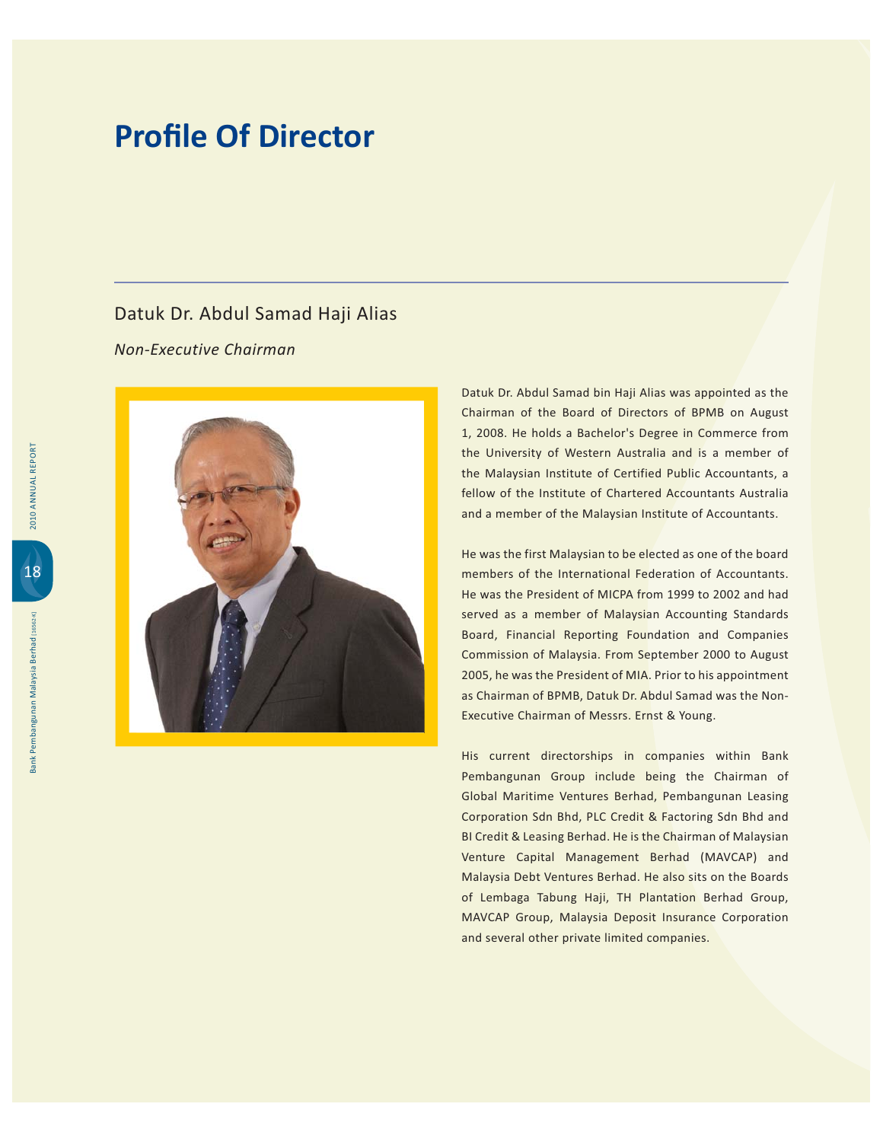#### Datuk Dr. Abdul Samad Haji Alias

Non-Executive Chairman



Datuk Dr. Abdul Samad bin Haji Alias was appointed as the Chairman of the Board of Directors of BPMB on August 1, 2008. He holds a Bachelor's Degree in Commerce from the University of Western Australia and is a member of the Malaysian Institute of Certified Public Accountants, a fellow of the Institute of Chartered Accountants Australia and a member of the Malaysian Institute of Accountants.

He was the first Malaysian to be elected as one of the board members of the International Federation of Accountants. He was the President of MICPA from 1999 to 2002 and had served as a member of Malaysian Accounting Standards Board, Financial Reporting Foundation and Companies Commission of Malaysia. From September 2000 to August 2005, he was the President of MIA. Prior to his appointment as Chairman of BPMB, Datuk Dr. Abdul Samad was the Non-Executive Chairman of Messrs. Ernst & Young.

His current directorships in companies within Bank Pembangunan Group include being the Chairman of Global Maritime Ventures Berhad, Pembangunan Leasing Corporation Sdn Bhd, PLC Credit & Factoring Sdn Bhd and BI Credit & Leasing Berhad. He is the Chairman of Malaysian Venture Capital Management Berhad (MAVCAP) and Malaysia Debt Ventures Berhad. He also sits on the Boards of Lembaga Tabung Haji, TH Plantation Berhad Group, MAVCAP Group, Malaysia Deposit Insurance Corporation and several other private limited companies.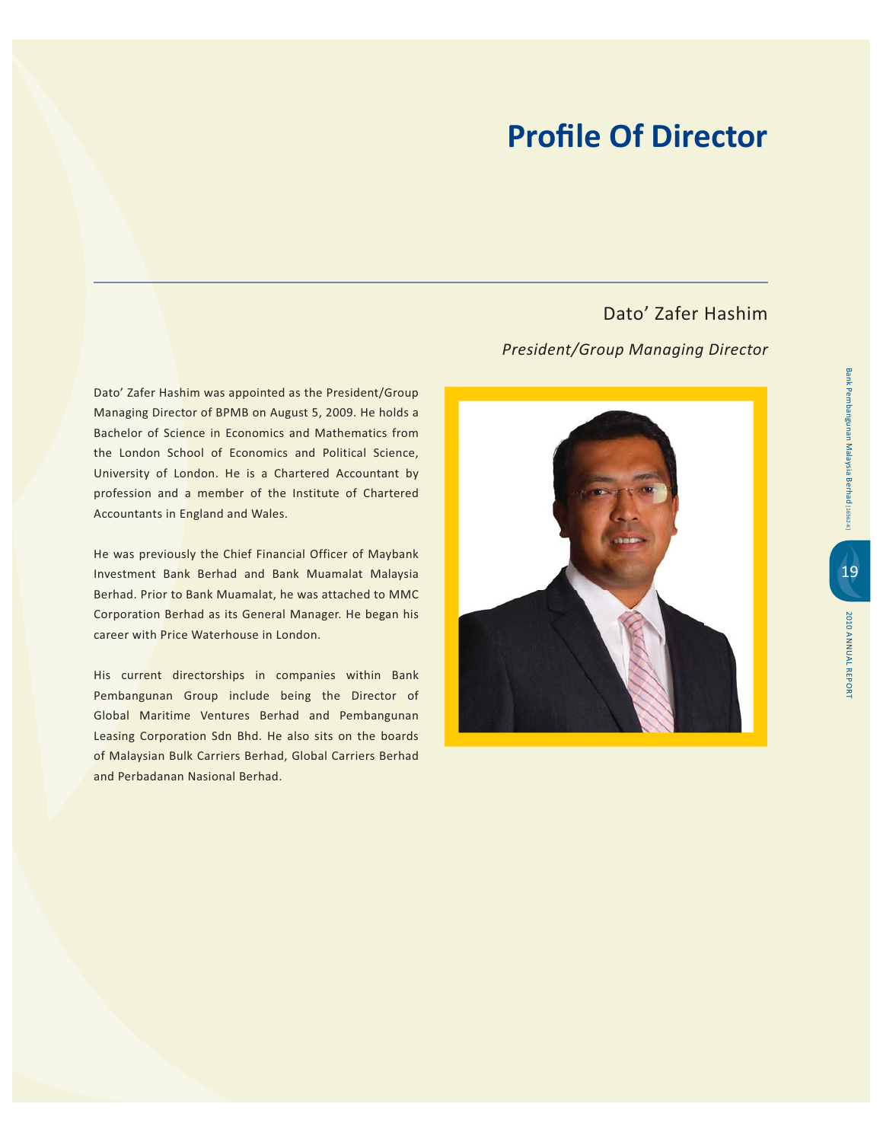Dato' Zafer Hashim was appointed as the President/Group Managing Director of BPMB on August 5, 2009. He holds a Bachelor of Science in Economics and Mathematics from the London School of Economics and Political Science, University of London. He is a Chartered Accountant by profession and a member of the Institute of Chartered Accountants in England and Wales.

He was previously the Chief Financial Officer of Maybank Investment Bank Berhad and Bank Muamalat Malaysia Berhad. Prior to Bank Muamalat, he was attached to MMC Corporation Berhad as its General Manager. He began his career with Price Waterhouse in London.

His current directorships in companies within Bank Pembangunan Group include being the Director of Global Maritime Ventures Berhad and Pembangunan Leasing Corporation Sdn Bhd. He also sits on the boards of Malaysian Bulk Carriers Berhad, Global Carriers Berhad and Perbadanan Nasional Berhad.

Dato' Zafer Hashim

#### *President/Group Managing Director*

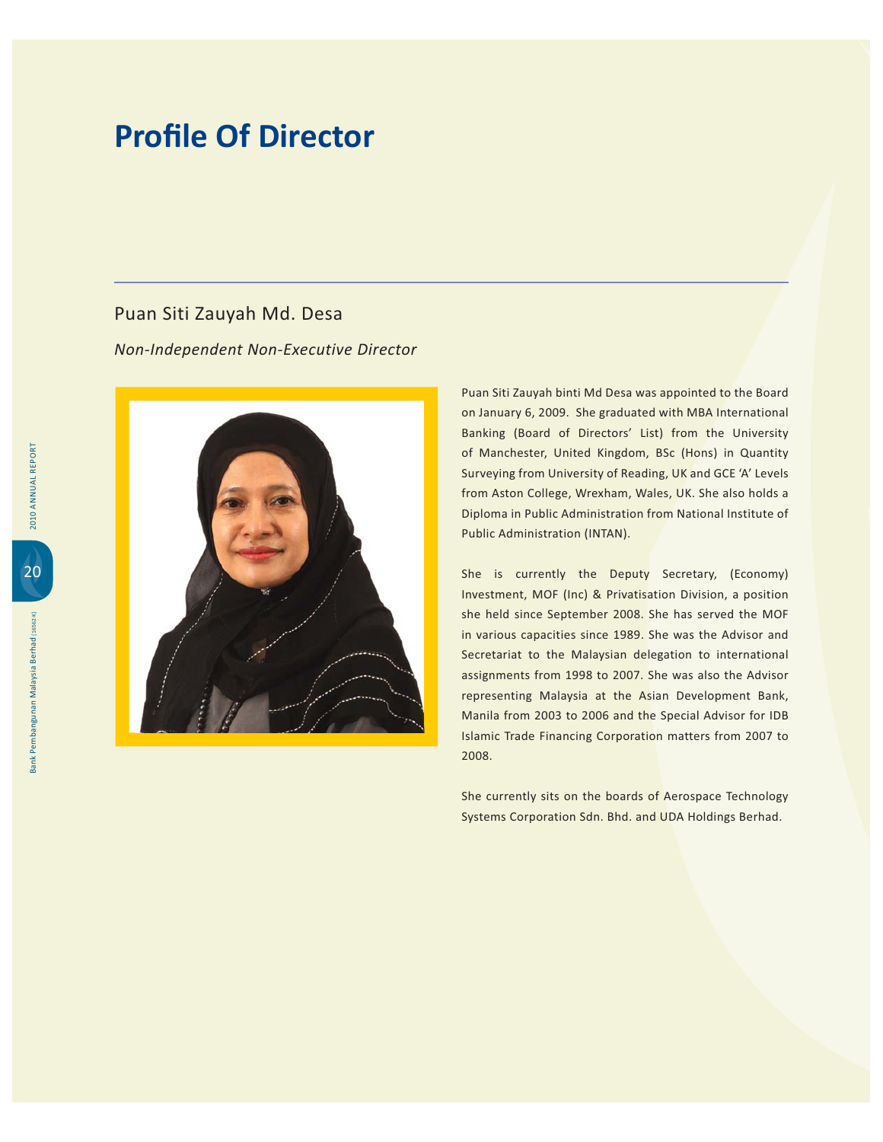#### Puan Siti Zauyah Md. Desa

*Non-Independent Non-Executive Director*



Puan Siti Zauyah binti Md Desa was appointed to the Board on January 6, 2009. She graduated with MBA International Banking (Board of Directors' List) from the University of Manchester, United Kingdom, BSc (Hons) in Quantity Surveying from University of Reading, UK and GCE 'A' Levels from Aston College, Wrexham, Wales, UK. She also holds a Diploma in Public Administration from National Institute of Public Administration (INTAN).

She is currently the Deputy Secretary, (Economy) Investment, MOF (Inc) & Privatisation Division, a position she held since September 2008. She has served the MOF in various capacities since 1989. She was the Advisor and Secretariat to the Malaysian delegation to international assignments from 1998 to 2007. She was also the Advisor representing Malaysia at the Asian Development Bank, Manila from 2003 to 2006 and the Special Advisor for IDB Islamic Trade Financing Corporation matters from 2007 to 2008.

She currently sits on the boards of Aerospace Technology Systems Corporation Sdn. Bhd. and UDA Holdings Berhad.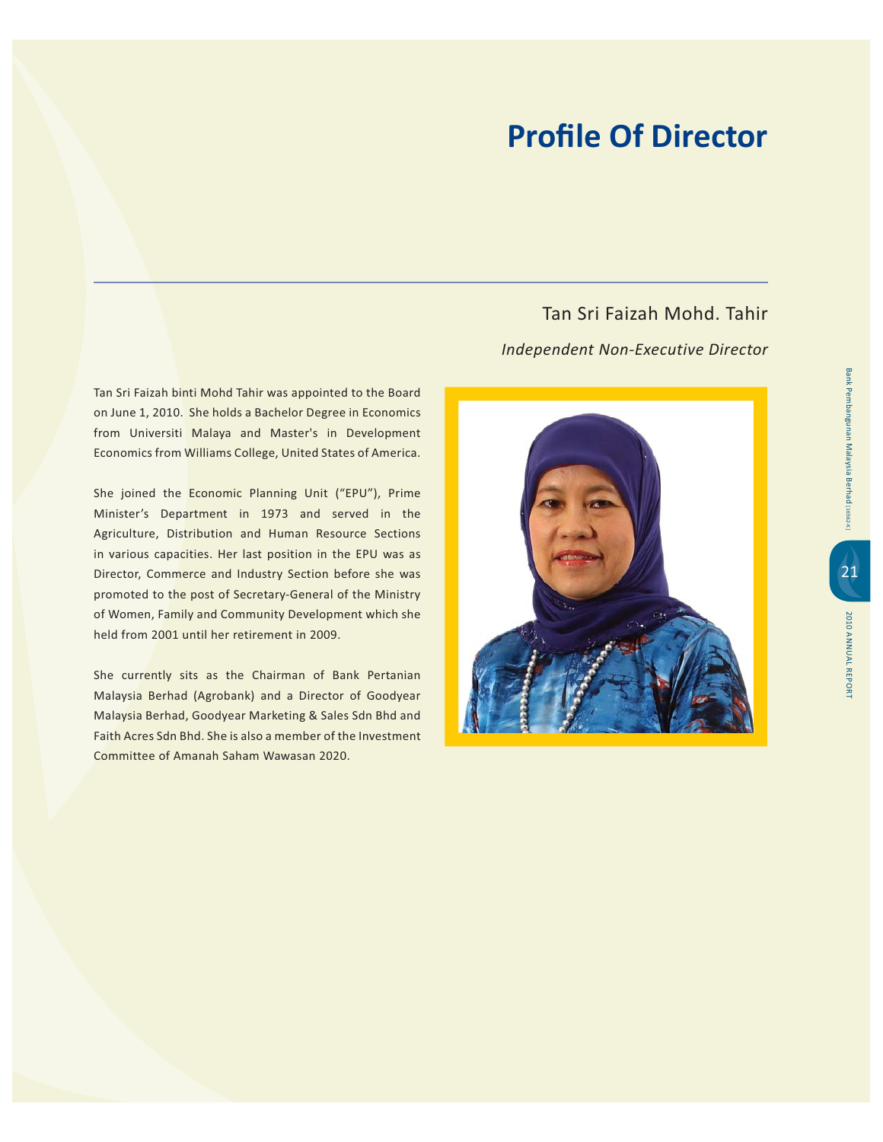Tan Sri Faizah binti Mohd Tahir was appointed to the Board on June 1, 2010. She holds a Bachelor Degree in Economics from Universiti Malaya and Master's in Development Economics from Williams College, United States of America.

She joined the Economic Planning Unit ("EPU"), Prime Minister's Department in 1973 and served in the Agriculture, Distribution and Human Resource Sections in various capacities. Her last position in the EPU was as Director, Commerce and Industry Section before she was promoted to the post of Secretary-General of the Ministry of Women, Family and Community Development which she held from 2001 until her retirement in 2009.

She currently sits as the Chairman of Bank Pertanian Malaysia Berhad (Agrobank) and a Director of Goodyear Malaysia Berhad, Goodyear Marketing & Sales Sdn Bhd and Faith Acres Sdn Bhd. She is also a member of the Investment Committee of Amanah Saham Wawasan 2020.

Tan Sri Faizah Mohd, Tahir Independent Non-Executive Director

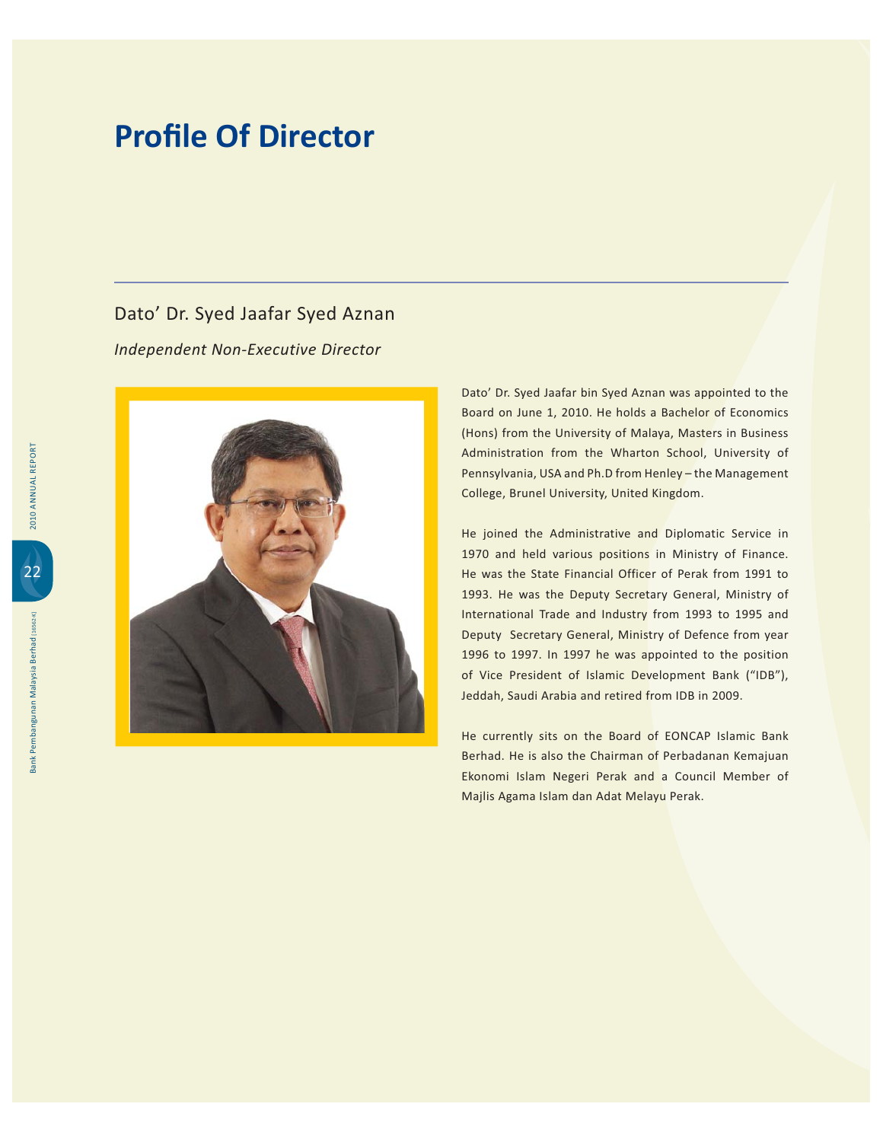#### Dato' Dr. Syed Jaafar Syed Aznan

*Independent Non-Executive Director*



Dato' Dr. Syed Jaafar bin Syed Aznan was appointed to the Board on June 1, 2010. He holds a Bachelor of Economics (Hons) from the University of Malaya, Masters in Business Administration from the Wharton School, University of Pennsylvania, USA and Ph.D from Henley - the Management College, Brunel University, United Kingdom.

He joined the Administrative and Diplomatic Service in 1970 and held various positions in Ministry of Finance. He was the State Financial Officer of Perak from 1991 to 1993. He was the Deputy Secretary General, Ministry of International Trade and Industry from 1993 to 1995 and Deputy Secretary General, Ministry of Defence from year 1996 to 1997. In 1997 he was appointed to the position of Vice President of Islamic Development Bank ("IDB"), Jeddah, Saudi Arabia and retired from IDB in 2009.

He currently sits on the Board of EONCAP Islamic Bank Berhad. He is also the Chairman of Perbadanan Kemajuan Ekonomi Islam Negeri Perak and a Council Member of Majlis Agama Islam dan Adat Melayu Perak.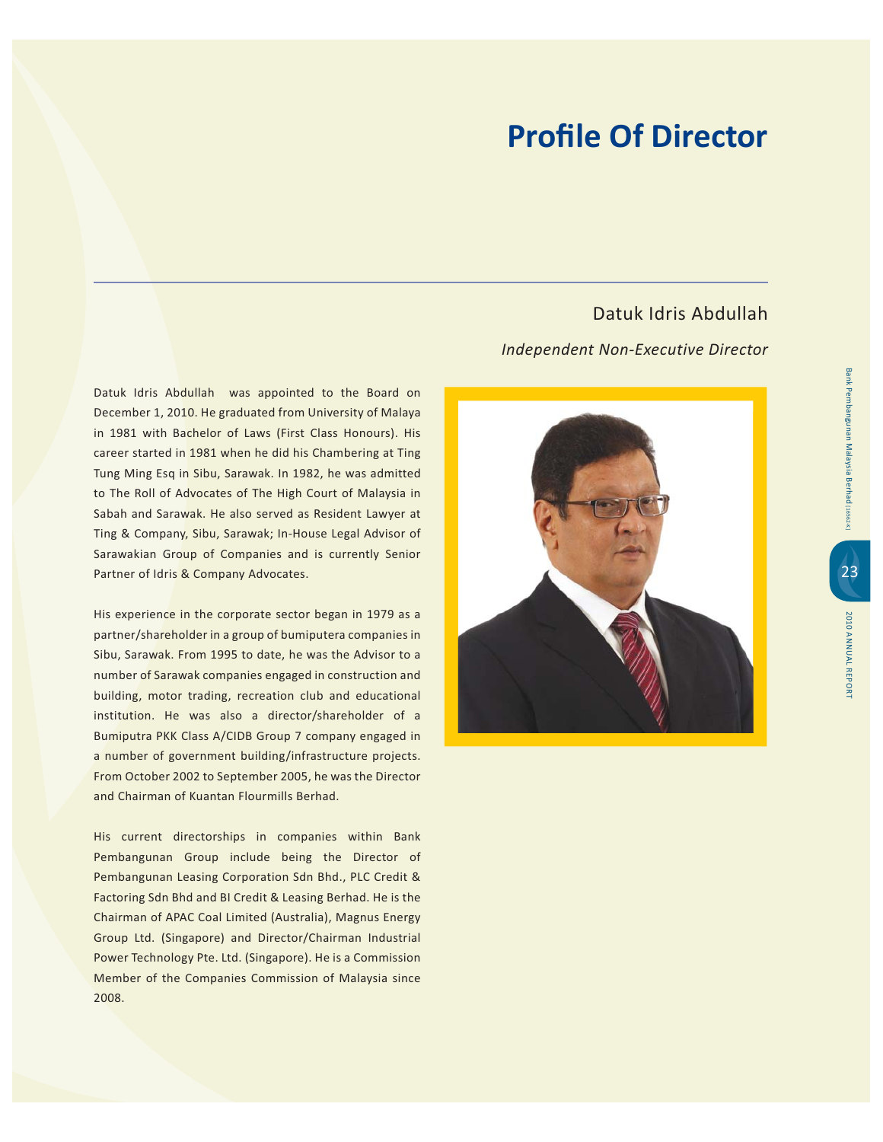Datuk Idris Abdullah

#### *Independent Non-Executive Director*

Datuk Idris Abdullah was appointed to the Board on December 1, 2010. He graduated from University of Malaya in 1981 with Bachelor of Laws (First Class Honours). His career started in 1981 when he did his Chambering at Ting Tung Ming Esq in Sibu, Sarawak. In 1982, he was admitted to The Roll of Advocates of The High Court of Malaysia in Sabah and Sarawak. He also served as Resident Lawyer at Ting & Company, Sibu, Sarawak; In-House Legal Advisor of Sarawakian Group of Companies and is currently Senior Partner of Idris & Company Advocates.

His experience in the corporate sector began in 1979 as a partner/shareholder in a group of bumiputera companies in Sibu, Sarawak. From 1995 to date, he was the Advisor to a number of Sarawak companies engaged in construction and building, motor trading, recreation club and educational institution. He was also a director/shareholder of a Bumiputra PKK Class A/CIDB Group 7 company engaged in a number of government building/infrastructure projects. From October 2002 to September 2005, he was the Director and Chairman of Kuantan Flourmills Berhad.

His current directorships in companies within Bank Pembangunan Group include being the Director of Pembangunan Leasing Corporation Sdn Bhd., PLC Credit & Factoring Sdn Bhd and BI Credit & Leasing Berhad. He is the Chairman of APAC Coal Limited (Australia), Magnus Energy Group Ltd. (Singapore) and Director/Chairman Industrial Power Technology Pte. Ltd. (Singapore). He is a Commission Member of the Companies Commission of Malaysia since 2008.

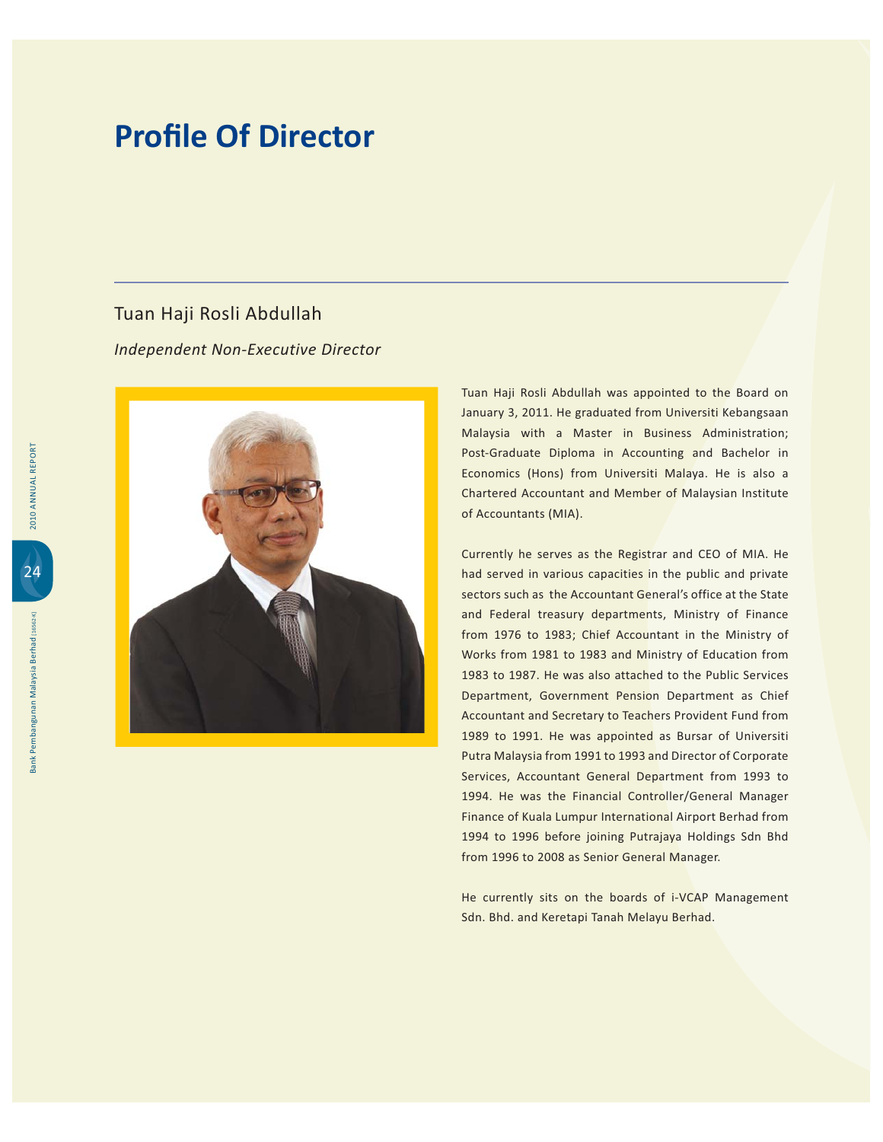#### Tuan Haji Rosli Abdullah

*Independent Non-Executive Director*



Tuan Haji Rosli Abdullah was appointed to the Board on January 3, 2011. He graduated from Universiti Kebangsaan Malaysia with a Master in Business Administration; Post-Graduate Diploma in Accounting and Bachelor in Economics (Hons) from Universiti Malaya. He is also a Chartered Accountant and Member of Malaysian Institute of Accountants (MIA).

Currently he serves as the Registrar and CEO of MIA. He had served in various capacities in the public and private sectors such as the Accountant General's office at the State and Federal treasury departments, Ministry of Finance from 1976 to 1983; Chief Accountant in the Ministry of Works from 1981 to 1983 and Ministry of Education from 1983 to 1987. He was also attached to the Public Services Department, Government Pension Department as Chief Accountant and Secretary to Teachers Provident Fund from 1989 to 1991. He was appointed as Bursar of Universiti Putra Malaysia from 1991 to 1993 and Director of Corporate Services, Accountant General Department from 1993 to 1994. He was the Financial Controller/General Manager Finance of Kuala Lumpur International Airport Berhad from 1994 to 1996 before joining Putrajaya Holdings Sdn Bhd from 1996 to 2008 as Senior General Manager.

He currently sits on the boards of i-VCAP Management Sdn. Bhd. and Keretapi Tanah Melayu Berhad.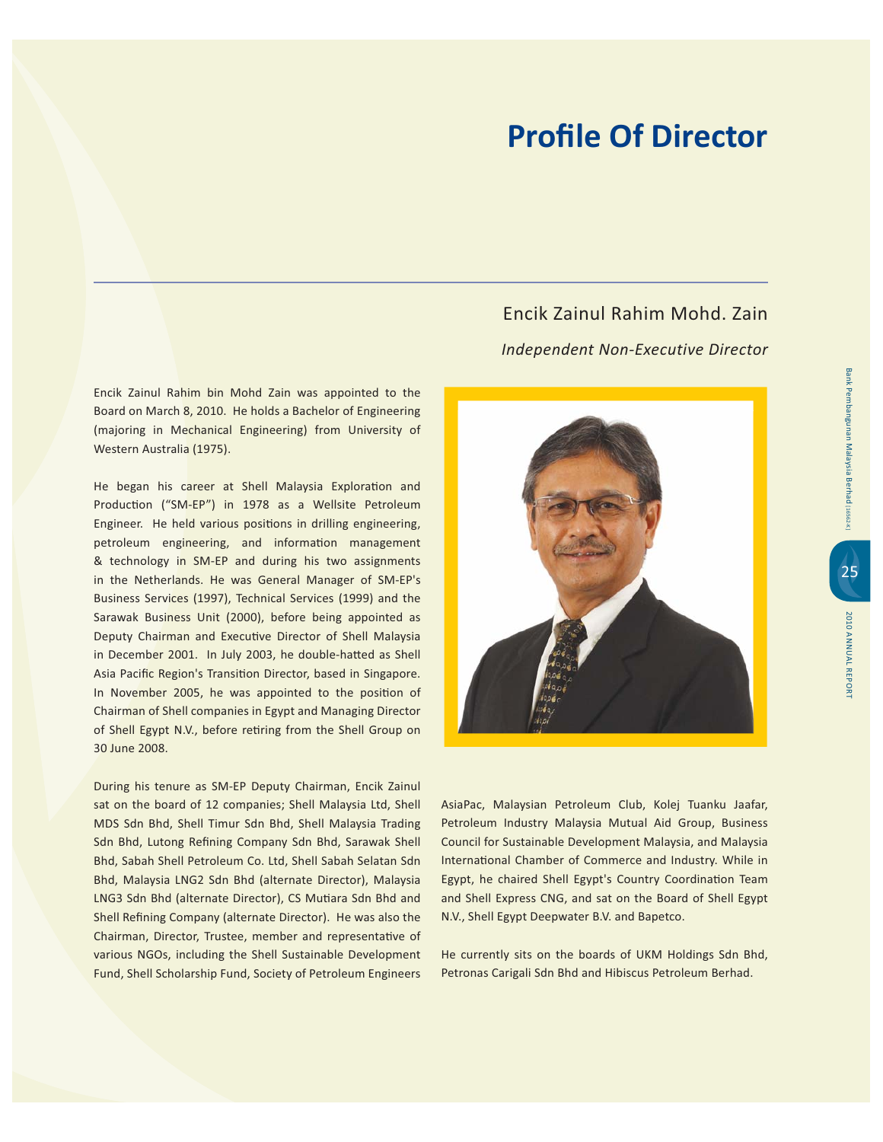Encik Zainul Rahim bin Mohd Zain was appointed to the Board on March 8, 2010. He holds a Bachelor of Engineering (majoring in Mechanical Engineering) from University of Western Australia (1975).

He began his career at Shell Malaysia Exploration and Production ("SM-EP") in 1978 as a Wellsite Petroleum Engineer. He held various positions in drilling engineering, petroleum engineering, and information management & technology in SM-EP and during his two assignments in the Netherlands. He was General Manager of SM-EP's Business Services (1997), Technical Services (1999) and the Sarawak Business Unit (2000), before being appointed as Deputy Chairman and Executive Director of Shell Malaysia in December 2001. In July 2003, he double-hatted as Shell Asia Pacific Region's Transition Director, based in Singapore. In November 2005, he was appointed to the position of Chairman of Shell companies in Egypt and Managing Director of Shell Egypt N.V., before retiring from the Shell Group on 30 June 2008.

During his tenure as SM-EP Deputy Chairman, Encik Zainul sat on the board of 12 companies; Shell Malaysia Ltd, Shell MDS Sdn Bhd, Shell Timur Sdn Bhd, Shell Malaysia Trading Sdn Bhd, Lutong Refining Company Sdn Bhd, Sarawak Shell Bhd, Sabah Shell Petroleum Co. Ltd, Shell Sabah Selatan Sdn Bhd, Malaysia LNG2 Sdn Bhd (alternate Director), Malaysia LNG3 Sdn Bhd (alternate Director), CS Mutiara Sdn Bhd and Shell Refining Company (alternate Director). He was also the Chairman, Director, Trustee, member and representative of various NGOs, including the Shell Sustainable Development Fund, Shell Scholarship Fund, Society of Petroleum Engineers

**Fncik Zainul Rahim Mohd, Zain Independent Non-Executive Director** 



AsiaPac, Malaysian Petroleum Club, Kolej Tuanku Jaafar, Petroleum Industry Malaysia Mutual Aid Group, Business Council for Sustainable Development Malaysia, and Malaysia International Chamber of Commerce and Industry. While in Egypt, he chaired Shell Egypt's Country Coordination Team and Shell Express CNG, and sat on the Board of Shell Egypt N.V., Shell Egypt Deepwater B.V. and Bapetco.

He currently sits on the boards of UKM Holdings Sdn Bhd, Petronas Carigali Sdn Bhd and Hibiscus Petroleum Berhad.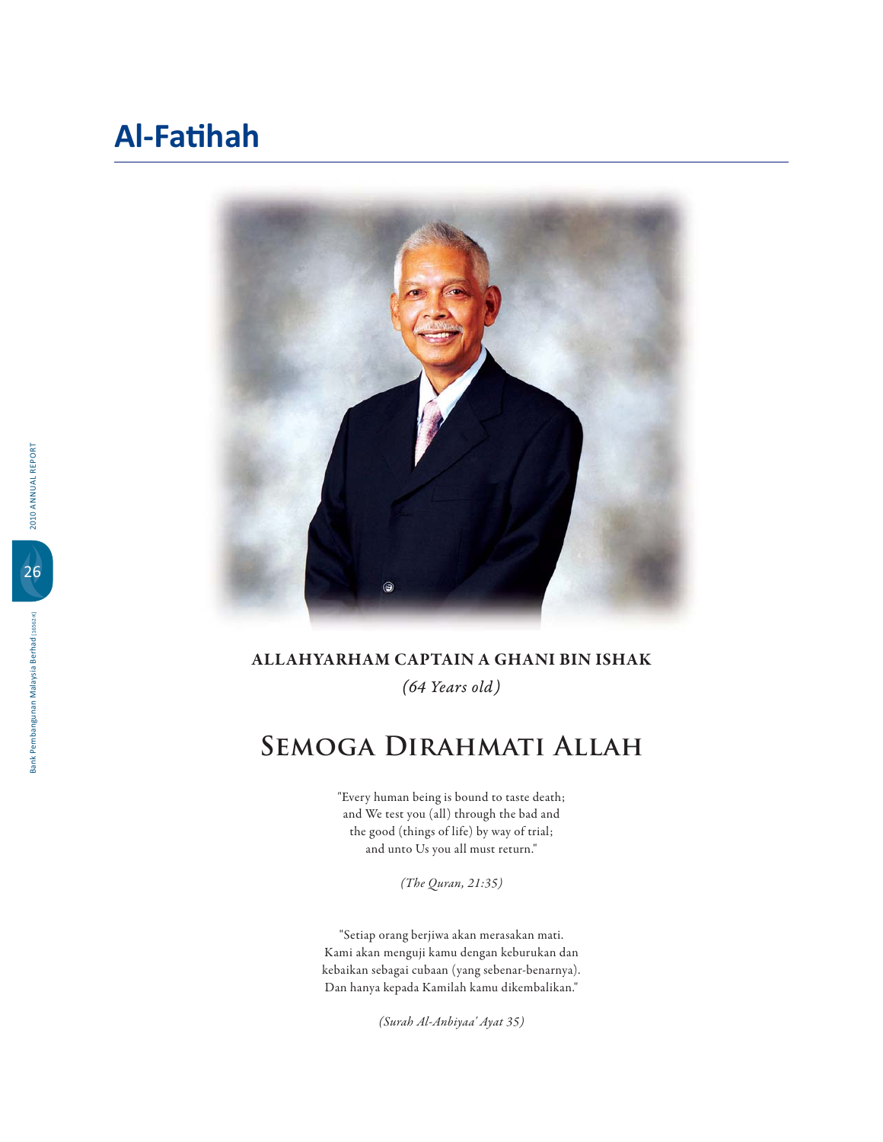### **Al-Fatihah**



#### **ALLAHYARHAM CAPTAIN A GHANI BIN ISHAK** *(64 Years old)*

# **Semoga Dirahmati Allah**

"Every human being is bound to taste death; and We test you (all) through the bad and the good (things of life) by way of trial; and unto Us you all must return."

*(The Quran, 21:35)*

"Setiap orang berjiwa akan merasakan mati. Kami akan menguji kamu dengan keburukan dan kebaikan sebagai cubaan (yang sebenar-benarnya). Dan hanya kepada Kamilah kamu dikembalikan."

*(Surah Al-Anbiyaa' Ayat 35)*